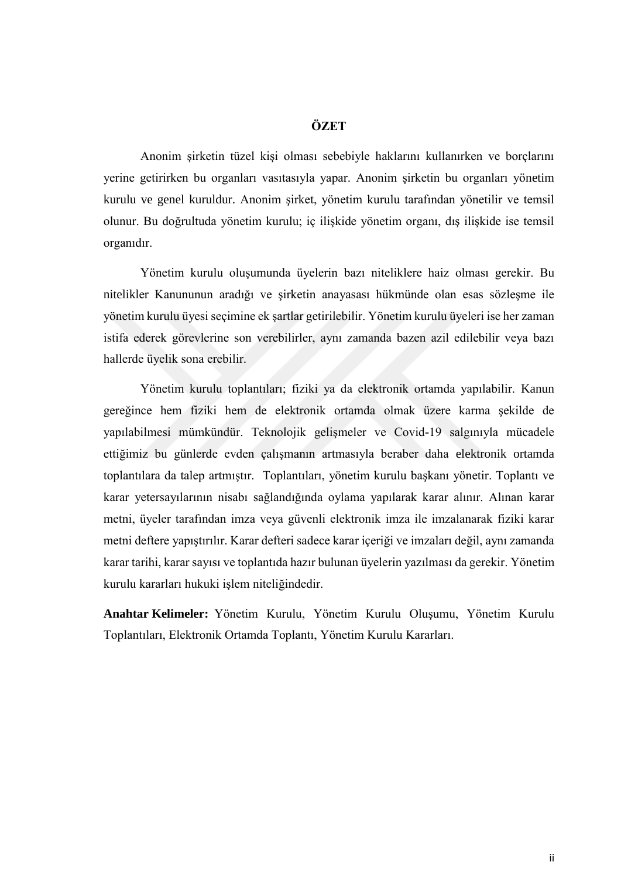## **ÖZET**

Anonim şirketin tüzel kişi olması sebebiyle haklarını kullanırken ve borçlarını yerine getirirken bu organları vasıtasıyla yapar. Anonim şirketin bu organları yönetim kurulu ve genel kuruldur. Anonim şirket, yönetim kurulu tarafından yönetilir ve temsil olunur. Bu doğrultuda yönetim kurulu; iç ilişkide yönetim organı, dış ilişkide ise temsil organıdır.

Yönetim kurulu oluşumunda üyelerin bazı niteliklere haiz olması gerekir. Bu nitelikler Kanununun aradığı ve şirketin anayasası hükmünde olan esas sözleşme ile yönetim kurulu üyesi seçimine ek şartlar getirilebilir. Yönetim kurulu üyeleri ise her zaman istifa ederek görevlerine son verebilirler, aynı zamanda bazen azil edilebilir veya bazı hallerde üyelik sona erebilir.

Yönetim kurulu toplantıları; fiziki ya da elektronik ortamda yapılabilir. Kanun gereğince hem fiziki hem de elektronik ortamda olmak üzere karma şekilde de yapılabilmesi mümkündür. Teknolojik gelişmeler ve Covid-19 salgınıyla mücadele ettiğimiz bu günlerde evden çalışmanın artmasıyla beraber daha elektronik ortamda toplantılara da talep artmıştır. Toplantıları, yönetim kurulu başkanı yönetir. Toplantı ve karar yetersayılarının nisabı sağlandığında oylama yapılarak karar alınır. Alınan karar metni, üyeler tarafından imza veya güvenli elektronik imza ile imzalanarak fiziki karar metni deftere yapıştırılır. Karar defteri sadece karar içeriği ve imzaları değil, aynı zamanda karar tarihi, karar sayısı ve toplantıda hazır bulunan üyelerin yazılması da gerekir. Yönetim kurulu kararları hukuki işlem niteliğindedir.

**Anahtar Kelimeler:** Yönetim Kurulu, Yönetim Kurulu Oluşumu, Yönetim Kurulu Toplantıları, Elektronik Ortamda Toplantı, Yönetim Kurulu Kararları.